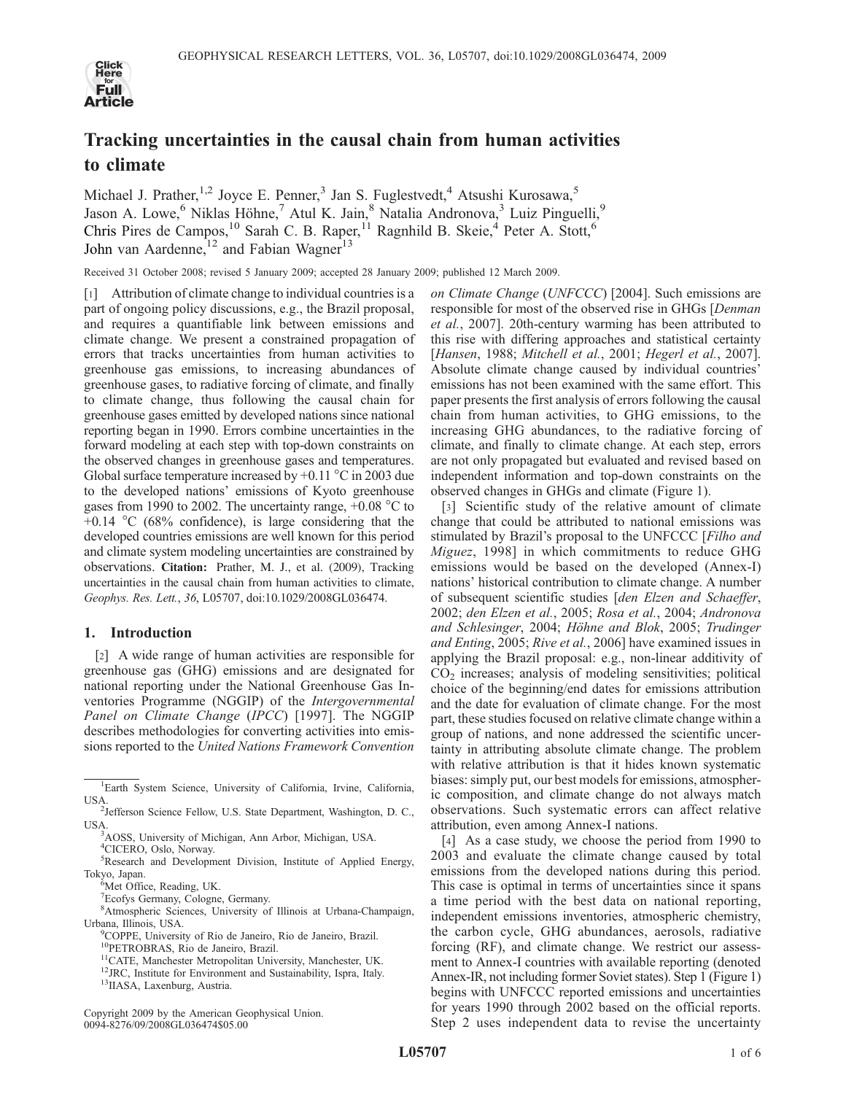

# Tracking uncertainties in the causal chain from human activities to climate

Michael J. Prather,<sup>1,2</sup> Joyce E. Penner,<sup>3</sup> Jan S. Fuglestvedt,<sup>4</sup> Atsushi Kurosawa,<sup>5</sup> Jason A. Lowe,<sup>6</sup> Niklas Höhne,<sup>7</sup> Atul K. Jain,<sup>8</sup> Natalia Andronova,<sup>3</sup> Luiz Pinguelli,<sup>9</sup> Chris Pires de Campos,<sup>10</sup> Sarah C. B. Raper,<sup>11</sup> Ragnhild B. Skeie,<sup>4</sup> Peter A. Stott,<sup>6</sup> John van Aardenne,<sup>12</sup> and Fabian Wagner<sup>13</sup>

Received 31 October 2008; revised 5 January 2009; accepted 28 January 2009; published 12 March 2009.

[1] Attribution of climate change to individual countries is a part of ongoing policy discussions, e.g., the Brazil proposal, and requires a quantifiable link between emissions and climate change. We present a constrained propagation of errors that tracks uncertainties from human activities to greenhouse gas emissions, to increasing abundances of greenhouse gases, to radiative forcing of climate, and finally to climate change, thus following the causal chain for greenhouse gases emitted by developed nations since national reporting began in 1990. Errors combine uncertainties in the forward modeling at each step with top-down constraints on the observed changes in greenhouse gases and temperatures. Global surface temperature increased by  $+0.11\degree C$  in 2003 due to the developed nations' emissions of Kyoto greenhouse gases from 1990 to 2002. The uncertainty range,  $+0.08$  °C to  $+0.14$  °C (68% confidence), is large considering that the developed countries emissions are well known for this period and climate system modeling uncertainties are constrained by observations. Citation: Prather, M. J., et al. (2009), Tracking uncertainties in the causal chain from human activities to climate, Geophys. Res. Lett., 36, L05707, doi:10.1029/2008GL036474.

## 1. Introduction

[2] A wide range of human activities are responsible for greenhouse gas (GHG) emissions and are designated for national reporting under the National Greenhouse Gas Inventories Programme (NGGIP) of the Intergovernmental Panel on Climate Change (IPCC) [1997]. The NGGIP describes methodologies for converting activities into emissions reported to the United Nations Framework Convention

7 Ecofys Germany, Cologne, Germany.

8 Atmospheric Sciences, University of Illinois at Urbana-Champaign, Urbana, Illinois, USA. <sup>9</sup>

Copyright 2009 by the American Geophysical Union. 0094-8276/09/2008GL036474\$05.00

on Climate Change (UNFCCC) [2004]. Such emissions are responsible for most of the observed rise in GHGs [Denman et al., 2007]. 20th-century warming has been attributed to this rise with differing approaches and statistical certainty [Hansen, 1988; Mitchell et al., 2001; Hegerl et al., 2007]. Absolute climate change caused by individual countries' emissions has not been examined with the same effort. This paper presents the first analysis of errors following the causal chain from human activities, to GHG emissions, to the increasing GHG abundances, to the radiative forcing of climate, and finally to climate change. At each step, errors are not only propagated but evaluated and revised based on independent information and top-down constraints on the observed changes in GHGs and climate (Figure 1).

[3] Scientific study of the relative amount of climate change that could be attributed to national emissions was stimulated by Brazil's proposal to the UNFCCC [Filho and Miguez, 1998] in which commitments to reduce GHG emissions would be based on the developed (Annex-I) nations' historical contribution to climate change. A number of subsequent scientific studies [den Elzen and Schaeffer, 2002; den Elzen et al., 2005; Rosa et al., 2004; Andronova and Schlesinger, 2004; Höhne and Blok, 2005; Trudinger and Enting, 2005; Rive et al., 2006] have examined issues in applying the Brazil proposal: e.g., non-linear additivity of  $CO<sub>2</sub>$  increases; analysis of modeling sensitivities; political choice of the beginning/end dates for emissions attribution and the date for evaluation of climate change. For the most part, these studies focused on relative climate change within a group of nations, and none addressed the scientific uncertainty in attributing absolute climate change. The problem with relative attribution is that it hides known systematic biases: simply put, our best models for emissions, atmospheric composition, and climate change do not always match observations. Such systematic errors can affect relative attribution, even among Annex-I nations.

[4] As a case study, we choose the period from 1990 to 2003 and evaluate the climate change caused by total emissions from the developed nations during this period. This case is optimal in terms of uncertainties since it spans a time period with the best data on national reporting, independent emissions inventories, atmospheric chemistry, the carbon cycle, GHG abundances, aerosols, radiative forcing (RF), and climate change. We restrict our assessment to Annex-I countries with available reporting (denoted Annex-IR, not including former Soviet states). Step 1 (Figure 1) begins with UNFCCC reported emissions and uncertainties for years 1990 through 2002 based on the official reports. Step 2 uses independent data to revise the uncertainty

<sup>&</sup>lt;sup>1</sup>Earth System Science, University of California, Irvine, California, USA

<sup>&</sup>lt;sup>2</sup>Jefferson Science Fellow, U.S. State Department, Washington, D. C., USA.

AOSS, University of Michigan, Ann Arbor, Michigan, USA.

<sup>4</sup> CICERO, Oslo, Norway.

<sup>5</sup> Research and Development Division, Institute of Applied Energy, Tokyo, Japan. <sup>6</sup>

 ${}^{\tilde{6}}$ Met Office, Reading, UK.

<sup>&</sup>lt;sup>9</sup>COPPE, University of Rio de Janeiro, Rio de Janeiro, Brazil.<br><sup>10</sup>PETROBRAS, Rio de Janeiro, Brazil.

<sup>&</sup>lt;sup>11</sup>CATE, Manchester Metropolitan University, Manchester, UK. <sup>12</sup>JRC, Institute for Environment and Sustainability, Ispra, Italy. <sup>13</sup>IIASA, Laxenburg, Austria.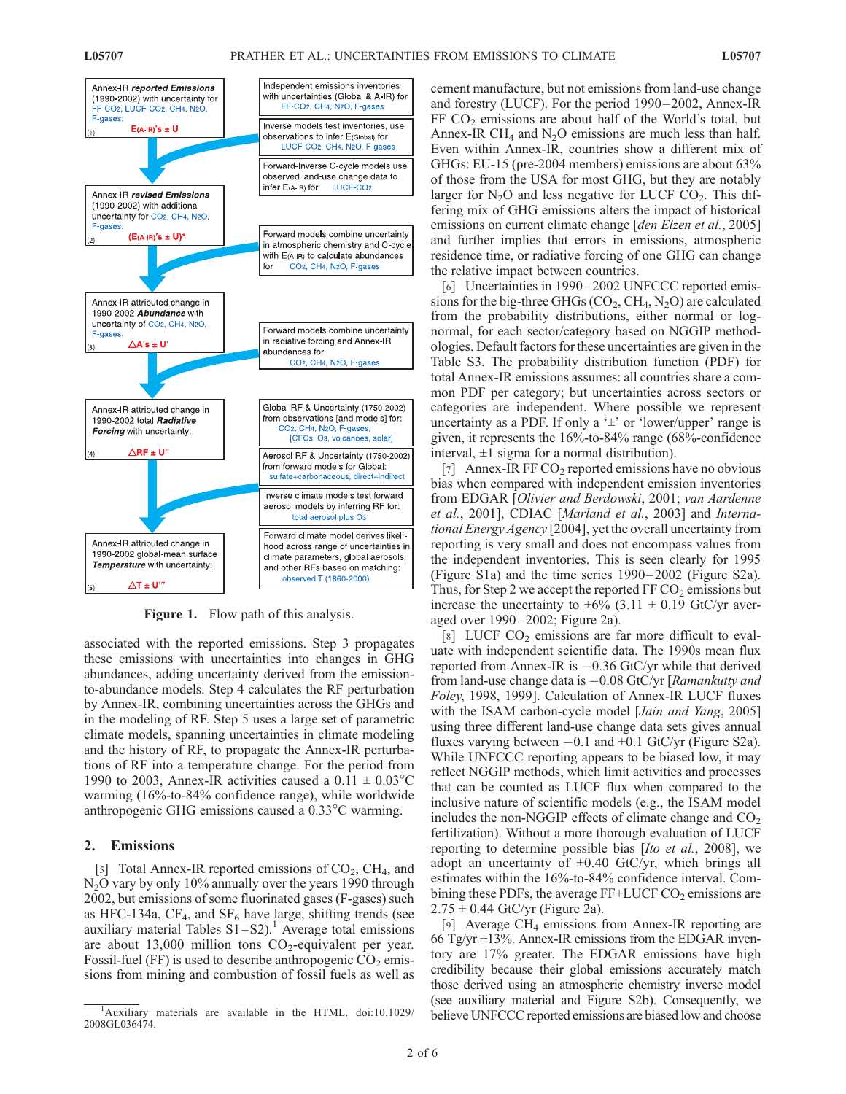

**Figure 1.** Flow path of this analysis.

associated with the reported emissions. Step 3 propagates these emissions with uncertainties into changes in GHG abundances, adding uncertainty derived from the emissionto-abundance models. Step 4 calculates the RF perturbation by Annex-IR, combining uncertainties across the GHGs and in the modeling of RF. Step 5 uses a large set of parametric climate models, spanning uncertainties in climate modeling and the history of RF, to propagate the Annex-IR perturbations of RF into a temperature change. For the period from 1990 to 2003, Annex-IR activities caused a  $0.11 \pm 0.03^{\circ}$ C warming (16%-to-84% confidence range), while worldwide anthropogenic GHG emissions caused a 0.33°C warming.

### 2. Emissions

[5] Total Annex-IR reported emissions of  $CO<sub>2</sub>$ , CH<sub>4</sub>, and N2O vary by only 10% annually over the years 1990 through 2002, but emissions of some fluorinated gases (F-gases) such as HFC-134a,  $CF_4$ , and  $SF_6$  have large, shifting trends (see auxiliary material Tables  $S1-S2$ ).<sup>1</sup> Average total emissions are about  $13,000$  million tons  $CO<sub>2</sub>$ -equivalent per year. Fossil-fuel (FF) is used to describe anthropogenic  $CO<sub>2</sub>$  emissions from mining and combustion of fossil fuels as well as cement manufacture, but not emissions from land-use change and forestry (LUCF). For the period 1990 – 2002, Annex-IR FF  $CO<sub>2</sub>$  emissions are about half of the World's total, but Annex-IR CH<sub>4</sub> and N<sub>2</sub>O emissions are much less than half. Even within Annex-IR, countries show a different mix of GHGs: EU-15 (pre-2004 members) emissions are about 63% of those from the USA for most GHG, but they are notably larger for  $N_2O$  and less negative for LUCF  $CO_2$ . This differing mix of GHG emissions alters the impact of historical emissions on current climate change [den Elzen et al., 2005] and further implies that errors in emissions, atmospheric residence time, or radiative forcing of one GHG can change the relative impact between countries.

[6] Uncertainties in 1990–2002 UNFCCC reported emissions for the big-three GHGs  $(CO_2, CH_4, N_2O)$  are calculated from the probability distributions, either normal or lognormal, for each sector/category based on NGGIP methodologies. Default factors for these uncertainties are given in the Table S3. The probability distribution function (PDF) for total Annex-IR emissions assumes: all countries share a common PDF per category; but uncertainties across sectors or categories are independent. Where possible we represent uncertainty as a PDF. If only a  $\pm$  or 'lower/upper' range is given, it represents the 16%-to-84% range (68%-confidence interval,  $\pm 1$  sigma for a normal distribution).

[7] Annex-IR FF  $CO<sub>2</sub>$  reported emissions have no obvious bias when compared with independent emission inventories from EDGAR [Olivier and Berdowski, 2001; van Aardenne et al., 2001], CDIAC [Marland et al., 2003] and International Energy Agency [2004], yet the overall uncertainty from reporting is very small and does not encompass values from the independent inventories. This is seen clearly for 1995 (Figure S1a) and the time series 1990– 2002 (Figure S2a). Thus, for Step 2 we accept the reported  $FFCO<sub>2</sub>$  emissions but increase the uncertainty to  $\pm 6\%$  (3.11  $\pm$  0.19 GtC/yr averaged over 1990– 2002; Figure 2a).

[8] LUCF  $CO<sub>2</sub>$  emissions are far more difficult to evaluate with independent scientific data. The 1990s mean flux reported from Annex-IR is  $-0.36$  GtC/yr while that derived from land-use change data is  $-0.08$  GtC/yr [Ramankutty and Foley, 1998, 1999]. Calculation of Annex-IR LUCF fluxes with the ISAM carbon-cycle model [Jain and Yang, 2005] using three different land-use change data sets gives annual fluxes varying between  $-0.1$  and  $+0.1$  GtC/yr (Figure S2a). While UNFCCC reporting appears to be biased low, it may reflect NGGIP methods, which limit activities and processes that can be counted as LUCF flux when compared to the inclusive nature of scientific models (e.g., the ISAM model includes the non-NGGIP effects of climate change and  $CO<sub>2</sub>$ fertilization). Without a more thorough evaluation of LUCF reporting to determine possible bias [Ito et al., 2008], we adopt an uncertainty of  $\pm 0.40$  GtC/yr, which brings all estimates within the 16%-to-84% confidence interval. Combining these PDFs, the average  $FF+LUCFCO<sub>2</sub>$  emissions are  $2.75 \pm 0.44$  GtC/yr (Figure 2a).

[9] Average CH4 emissions from Annex-IR reporting are 66 Tg/yr  $\pm$ 13%. Annex-IR emissions from the EDGAR inventory are 17% greater. The EDGAR emissions have high credibility because their global emissions accurately match those derived using an atmospheric chemistry inverse model (see auxiliary material and Figure S2b). Consequently, we believe UNFCCC reported emissions are biased low and choose

<sup>&</sup>lt;sup>1</sup>Auxiliary materials are available in the HTML. doi:10.1029/ 2008GL036474.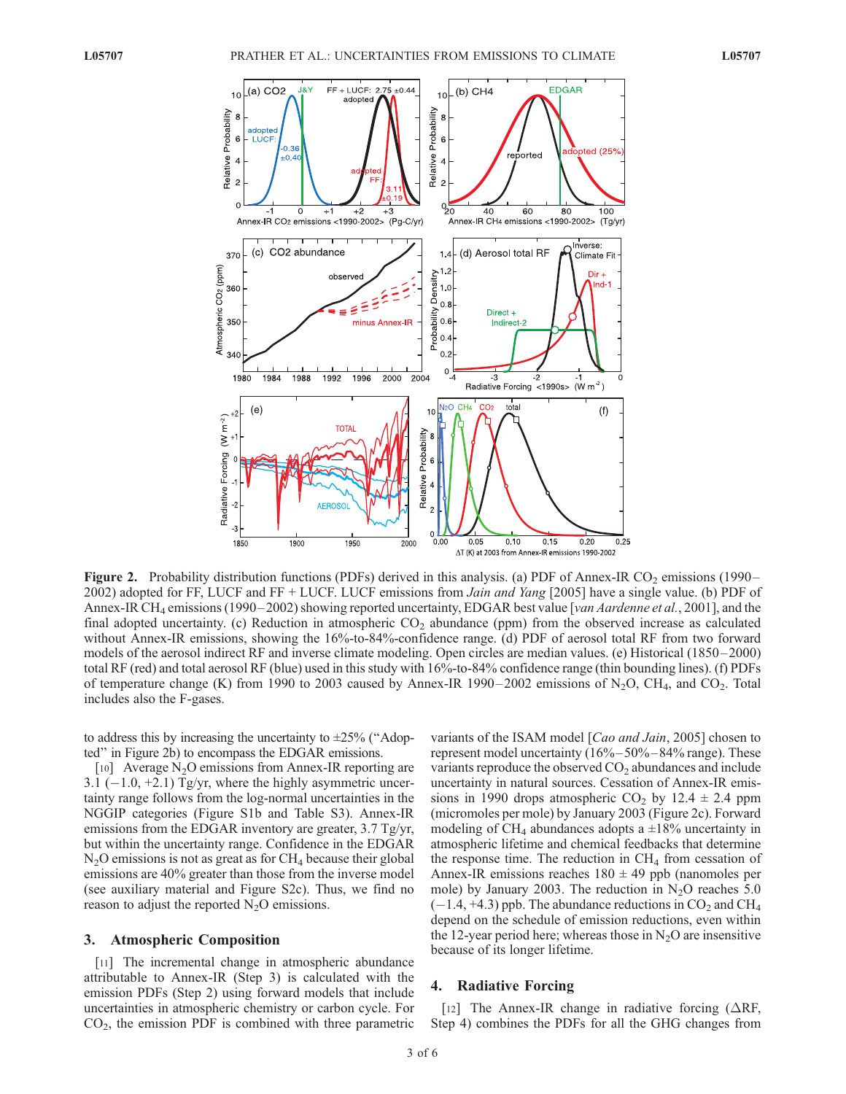

Figure 2. Probability distribution functions (PDFs) derived in this analysis. (a) PDF of Annex-IR  $CO_2$  emissions (1990– 2002) adopted for FF, LUCF and FF + LUCF. LUCF emissions from *Jain and Yang* [2005] have a single value. (b) PDF of Annex-IR CH<sub>4</sub> emissions (1990–2002) showing reported uncertainty, EDGAR best value [van Aardenne et al., 2001], and the final adopted uncertainty. (c) Reduction in atmospheric  $CO<sub>2</sub>$  abundance (ppm) from the observed increase as calculated without Annex-IR emissions, showing the 16%-to-84%-confidence range. (d) PDF of aerosol total RF from two forward models of the aerosol indirect RF and inverse climate modeling. Open circles are median values. (e) Historical (1850–2000) total RF (red) and total aerosol RF (blue) used in this study with 16%-to-84% confidence range (thin bounding lines). (f) PDFs of temperature change (K) from 1990 to 2003 caused by Annex-IR 1990–2002 emissions of N<sub>2</sub>O, CH<sub>4</sub>, and CO<sub>2</sub>. Total includes also the F-gases.

to address this by increasing the uncertainty to  $\pm 25\%$  ("Adopted'' in Figure 2b) to encompass the EDGAR emissions.

[10] Average N<sub>2</sub>O emissions from Annex-IR reporting are 3.1 ( $-1.0$ ,  $+2.1$ ) Tg/yr, where the highly asymmetric uncertainty range follows from the log-normal uncertainties in the NGGIP categories (Figure S1b and Table S3). Annex-IR emissions from the EDGAR inventory are greater, 3.7 Tg/yr, but within the uncertainty range. Confidence in the EDGAR  $N<sub>2</sub>O$  emissions is not as great as for  $CH<sub>4</sub>$  because their global emissions are 40% greater than those from the inverse model (see auxiliary material and Figure S2c). Thus, we find no reason to adjust the reported  $N_2O$  emissions.

#### 3. Atmospheric Composition

[11] The incremental change in atmospheric abundance attributable to Annex-IR (Step 3) is calculated with the emission PDFs (Step 2) using forward models that include uncertainties in atmospheric chemistry or carbon cycle. For  $CO<sub>2</sub>$ , the emission PDF is combined with three parametric

variants of the ISAM model [Cao and Jain, 2005] chosen to represent model uncertainty (16% – 50% – 84% range). These variants reproduce the observed  $CO<sub>2</sub>$  abundances and include uncertainty in natural sources. Cessation of Annex-IR emissions in 1990 drops atmospheric CO<sub>2</sub> by 12.4  $\pm$  2.4 ppm (micromoles per mole) by January 2003 (Figure 2c). Forward modeling of CH<sub>4</sub> abundances adopts a  $\pm 18\%$  uncertainty in atmospheric lifetime and chemical feedbacks that determine the response time. The reduction in  $CH<sub>4</sub>$  from cessation of Annex-IR emissions reaches  $180 \pm 49$  ppb (nanomoles per mole) by January 2003. The reduction in  $N<sub>2</sub>O$  reaches 5.0  $(-1.4, +4.3)$  ppb. The abundance reductions in  $CO<sub>2</sub>$  and CH<sub>4</sub> depend on the schedule of emission reductions, even within the 12-year period here; whereas those in  $N_2O$  are insensitive because of its longer lifetime.

## 4. Radiative Forcing

[12] The Annex-IR change in radiative forcing  $(\Delta RF,$ Step 4) combines the PDFs for all the GHG changes from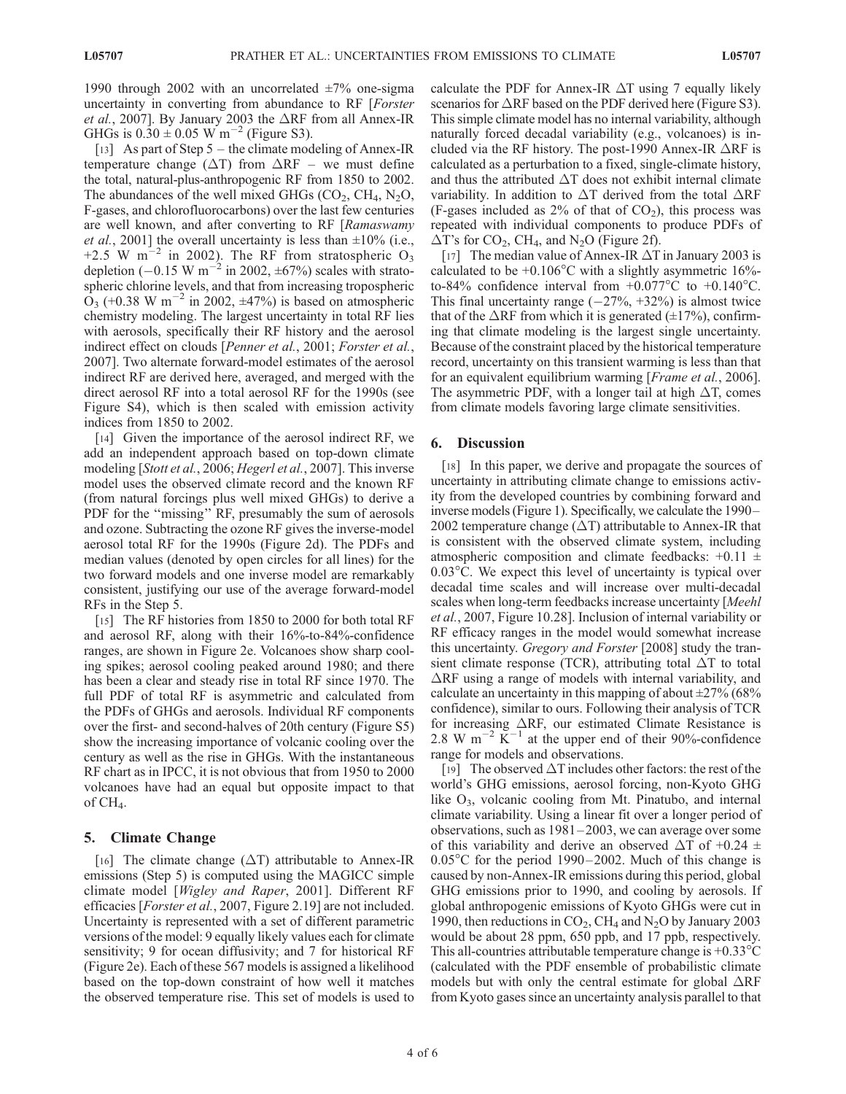1990 through 2002 with an uncorrelated  $\pm 7\%$  one-sigma uncertainty in converting from abundance to RF [Forster *et al.*, 2007]. By January 2003 the  $\triangle$ RF from all Annex-IR GHGs is  $0.30 \pm 0.05$  W m<sup>-2</sup> (Figure S3).

[13] As part of Step 5 – the climate modeling of Annex-IR temperature change ( $\Delta T$ ) from  $\Delta RF$  – we must define the total, natural-plus-anthropogenic RF from 1850 to 2002. The abundances of the well mixed GHGs  $(CO_2, CH_4, N_2O)$ , F-gases, and chlorofluorocarbons) over the last few centuries are well known, and after converting to RF [Ramaswamy *et al.*, 2001] the overall uncertainty is less than  $\pm 10\%$  (i.e., +2.5 W m<sup>-2</sup> in 2002). The RF from stratospheric O<sub>3</sub> depletion (-0.15 W m<sup>-2</sup> in 2002,  $\pm 67\%$ ) scales with stratospheric chlorine levels, and that from increasing tropospheric  $O_3$  (+0.38 W m<sup>-2</sup> in 2002,  $\pm$ 47%) is based on atmospheric chemistry modeling. The largest uncertainty in total RF lies with aerosols, specifically their RF history and the aerosol indirect effect on clouds [Penner et al., 2001; Forster et al., 2007]. Two alternate forward-model estimates of the aerosol indirect RF are derived here, averaged, and merged with the direct aerosol RF into a total aerosol RF for the 1990s (see Figure S4), which is then scaled with emission activity indices from 1850 to 2002.

[14] Given the importance of the aerosol indirect RF, we add an independent approach based on top-down climate modeling [Stott et al., 2006; Hegerl et al., 2007]. This inverse model uses the observed climate record and the known RF (from natural forcings plus well mixed GHGs) to derive a PDF for the ''missing'' RF, presumably the sum of aerosols and ozone. Subtracting the ozone RF gives the inverse-model aerosol total RF for the 1990s (Figure 2d). The PDFs and median values (denoted by open circles for all lines) for the two forward models and one inverse model are remarkably consistent, justifying our use of the average forward-model RFs in the Step 5.

[15] The RF histories from 1850 to 2000 for both total RF and aerosol RF, along with their 16%-to-84%-confidence ranges, are shown in Figure 2e. Volcanoes show sharp cooling spikes; aerosol cooling peaked around 1980; and there has been a clear and steady rise in total RF since 1970. The full PDF of total RF is asymmetric and calculated from the PDFs of GHGs and aerosols. Individual RF components over the first- and second-halves of 20th century (Figure S5) show the increasing importance of volcanic cooling over the century as well as the rise in GHGs. With the instantaneous RF chart as in IPCC, it is not obvious that from 1950 to 2000 volcanoes have had an equal but opposite impact to that of  $CH_4$ .

## 5. Climate Change

[16] The climate change  $(\Delta T)$  attributable to Annex-IR emissions (Step 5) is computed using the MAGICC simple climate model [Wigley and Raper, 2001]. Different RF efficacies [Forster et al., 2007, Figure 2.19] are not included. Uncertainty is represented with a set of different parametric versions of the model: 9 equally likely values each for climate sensitivity; 9 for ocean diffusivity; and 7 for historical RF (Figure 2e). Each of these 567 models is assigned a likelihood based on the top-down constraint of how well it matches the observed temperature rise. This set of models is used to calculate the PDF for Annex-IR  $\Delta T$  using 7 equally likely scenarios for  $\triangle$ RF based on the PDF derived here (Figure S3). This simple climate model has no internal variability, although naturally forced decadal variability (e.g., volcanoes) is included via the RF history. The post-1990 Annex-IR  $\triangle$ RF is calculated as a perturbation to a fixed, single-climate history, and thus the attributed  $\Delta T$  does not exhibit internal climate variability. In addition to  $\Delta T$  derived from the total  $\Delta RF$ (F-gases included as  $2\%$  of that of  $CO<sub>2</sub>$ ), this process was repeated with individual components to produce PDFs of  $\Delta$ T's for CO<sub>2</sub>, CH<sub>4</sub>, and N<sub>2</sub>O (Figure 2f).

[17] The median value of Annex-IR  $\Delta T$  in January 2003 is calculated to be  $+0.106^{\circ}$ C with a slightly asymmetric 16%to-84% confidence interval from  $+0.077^{\circ}$ C to  $+0.140^{\circ}$ C. This final uncertainty range  $(-27\%, +32\%)$  is almost twice that of the  $\triangle$ RF from which it is generated ( $\pm$ 17%), confirming that climate modeling is the largest single uncertainty. Because of the constraint placed by the historical temperature record, uncertainty on this transient warming is less than that for an equivalent equilibrium warming [Frame et al., 2006]. The asymmetric PDF, with a longer tail at high  $\Delta T$ , comes from climate models favoring large climate sensitivities.

## 6. Discussion

[18] In this paper, we derive and propagate the sources of uncertainty in attributing climate change to emissions activity from the developed countries by combining forward and inverse models (Figure 1). Specifically, we calculate the 1990– 2002 temperature change  $(\Delta T)$  attributable to Annex-IR that is consistent with the observed climate system, including atmospheric composition and climate feedbacks:  $+0.11 \pm$  $0.03^{\circ}$ C. We expect this level of uncertainty is typical over decadal time scales and will increase over multi-decadal scales when long-term feedbacks increase uncertainty [Meehl et al., 2007, Figure 10.28]. Inclusion of internal variability or RF efficacy ranges in the model would somewhat increase this uncertainty. Gregory and Forster [2008] study the transient climate response (TCR), attributing total  $\Delta T$  to total  $\Delta$ RF using a range of models with internal variability, and calculate an uncertainty in this mapping of about  $\pm 27\%$  (68%) confidence), similar to ours. Following their analysis of TCR for increasing  $\Delta$ RF, our estimated Climate Resistance is 2.8 W m<sup>-2</sup>  $\text{K}^{-1}$  at the upper end of their 90%-confidence range for models and observations.

[19] The observed  $\Delta T$  includes other factors: the rest of the world's GHG emissions, aerosol forcing, non-Kyoto GHG like  $O_3$ , volcanic cooling from Mt. Pinatubo, and internal climate variability. Using a linear fit over a longer period of observations, such as  $1981-2003$ , we can average over some of this variability and derive an observed  $\Delta T$  of +0.24  $\pm$  $0.05^{\circ}$ C for the period 1990–2002. Much of this change is caused by non-Annex-IR emissions during this period, global GHG emissions prior to 1990, and cooling by aerosols. If global anthropogenic emissions of Kyoto GHGs were cut in 1990, then reductions in  $CO<sub>2</sub>$ , CH<sub>4</sub> and N<sub>2</sub>O by January 2003 would be about 28 ppm, 650 ppb, and 17 ppb, respectively. This all-countries attributable temperature change is  $+0.33^{\circ}$ C (calculated with the PDF ensemble of probabilistic climate models but with only the central estimate for global  $\Delta RF$ from Kyoto gases since an uncertainty analysis parallel to that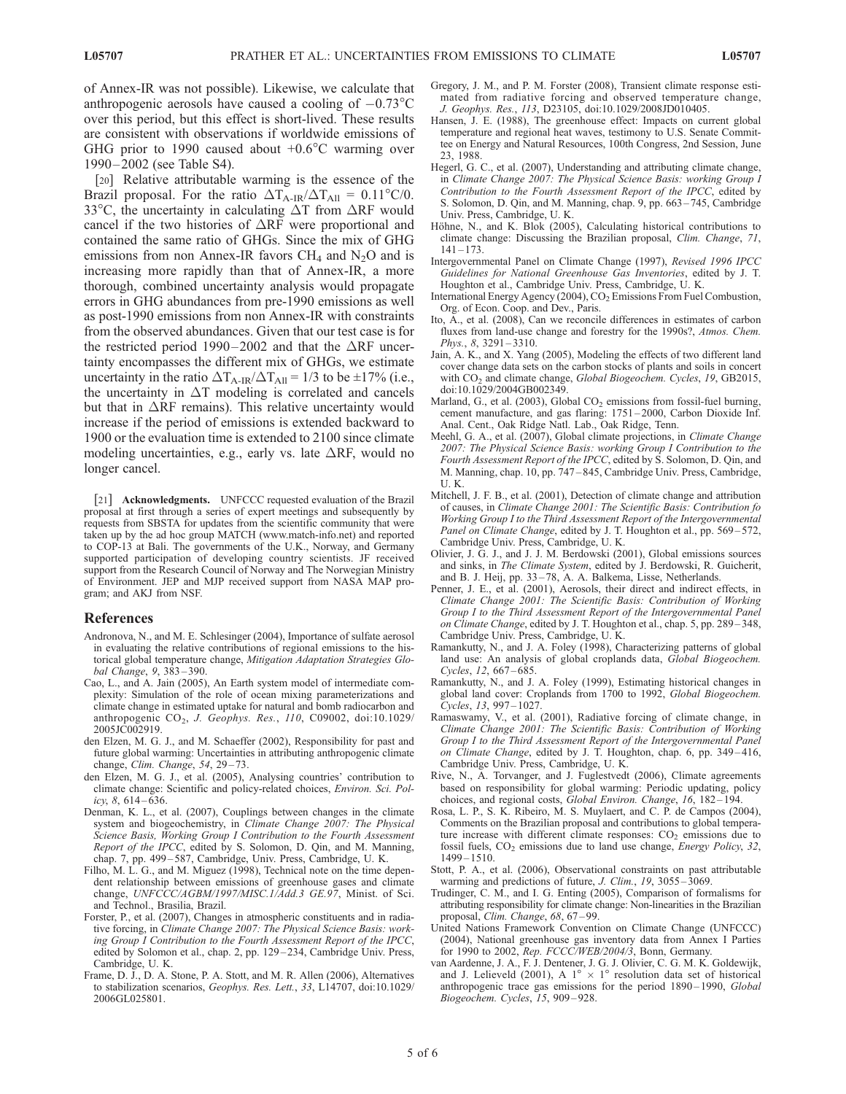of Annex-IR was not possible). Likewise, we calculate that anthropogenic aerosols have caused a cooling of  $-0.73^{\circ}$ C over this period, but this effect is short-lived. These results are consistent with observations if worldwide emissions of GHG prior to 1990 caused about  $+0.6^{\circ}$ C warming over 1990 – 2002 (see Table S4).

[20] Relative attributable warming is the essence of the Brazil proposal. For the ratio  $\Delta T_{A-IR}/\Delta T_{All} = 0.11^{\circ}C/0$ . 33°C, the uncertainty in calculating  $\Delta T$  from  $\Delta RF$  would cancel if the two histories of  $\Delta$ RF were proportional and contained the same ratio of GHGs. Since the mix of GHG emissions from non Annex-IR favors  $CH_4$  and N<sub>2</sub>O and is increasing more rapidly than that of Annex-IR, a more thorough, combined uncertainty analysis would propagate errors in GHG abundances from pre-1990 emissions as well as post-1990 emissions from non Annex-IR with constraints from the observed abundances. Given that our test case is for the restricted period 1990–2002 and that the  $\Delta$ RF uncertainty encompasses the different mix of GHGs, we estimate uncertainty in the ratio  $\Delta T_{A-IR}/\Delta T_{All} = 1/3$  to be  $\pm 17\%$  (i.e., the uncertainty in  $\Delta T$  modeling is correlated and cancels but that in  $\Delta$ RF remains). This relative uncertainty would increase if the period of emissions is extended backward to 1900 or the evaluation time is extended to 2100 since climate modeling uncertainties, e.g., early vs. late  $\Delta RF$ , would no longer cancel.

[21] **Acknowledgments.** UNFCCC requested evaluation of the Brazil proposal at first through a series of expert meetings and subsequently by requests from SBSTA for updates from the scientific community that were taken up by the ad hoc group MATCH (www.match-info.net) and reported to COP-13 at Bali. The governments of the U.K., Norway, and Germany supported participation of developing country scientists. JF received support from the Research Council of Norway and The Norwegian Ministry of Environment. JEP and MJP received support from NASA MAP program; and AKJ from NSF.

#### References

- Andronova, N., and M. E. Schlesinger (2004), Importance of sulfate aerosol in evaluating the relative contributions of regional emissions to the historical global temperature change, Mitigation Adaptation Strategies Global Change, 9, 383-390.
- Cao, L., and A. Jain (2005), An Earth system model of intermediate complexity: Simulation of the role of ocean mixing parameterizations and climate change in estimated uptake for natural and bomb radiocarbon and anthropogenic  $CO<sub>2</sub>$ , J. Geophys. Res., 110, C09002, doi:10.1029/ 2005JC002919.
- den Elzen, M. G. J., and M. Schaeffer (2002), Responsibility for past and future global warming: Uncertainties in attributing anthropogenic climate change, Clim. Change, 54, 29-73.
- den Elzen, M. G. J., et al. (2005), Analysing countries' contribution to climate change: Scientific and policy-related choices, Environ. Sci. Policy,  $8, 614 - 636$ .
- Denman, K. L., et al. (2007), Couplings between changes in the climate system and biogeochemistry, in Climate Change 2007: The Physical Science Basis, Working Group I Contribution to the Fourth Assessment Report of the IPCC, edited by S. Solomon, D. Qin, and M. Manning, chap. 7, pp. 499 – 587, Cambridge, Univ. Press, Cambridge, U. K.
- Filho, M. L. G., and M. Miguez (1998), Technical note on the time dependent relationship between emissions of greenhouse gases and climate change, UNFCCC/AGBM/1997/MISC.1/Add.3 GE.97, Minist. of Sci. and Technol., Brasilia, Brazil.
- Forster, P., et al. (2007), Changes in atmospheric constituents and in radiative forcing, in Climate Change 2007: The Physical Science Basis: working Group I Contribution to the Fourth Assessment Report of the IPCC, edited by Solomon et al., chap. 2, pp. 129-234, Cambridge Univ. Press, Cambridge, U. K.
- Frame, D. J., D. A. Stone, P. A. Stott, and M. R. Allen (2006), Alternatives to stabilization scenarios, Geophys. Res. Lett., 33, L14707, doi:10.1029/ 2006GL025801.
- Gregory, J. M., and P. M. Forster (2008), Transient climate response estimated from radiative forcing and observed temperature change, J. Geophys. Res., 113, D23105, doi:10.1029/2008JD010405.
- Hansen, J. E. (1988), The greenhouse effect: Impacts on current global temperature and regional heat waves, testimony to U.S. Senate Committee on Energy and Natural Resources, 100th Congress, 2nd Session, June 23, 1988.
- Hegerl, G. C., et al. (2007), Understanding and attributing climate change, in Climate Change 2007: The Physical Science Basis: working Group I Contribution to the Fourth Assessment Report of the IPCC, edited by S. Solomon, D. Qin, and M. Manning, chap. 9, pp. 663 – 745, Cambridge Univ. Press, Cambridge, U. K.
- Höhne, N., and K. Blok (2005), Calculating historical contributions to climate change: Discussing the Brazilian proposal, Clim. Change, 71,  $141 - 173$
- Intergovernmental Panel on Climate Change (1997), Revised 1996 IPCC Guidelines for National Greenhouse Gas Inventories, edited by J. T. Houghton et al., Cambridge Univ. Press, Cambridge, U. K.
- International Energy Agency (2004), CO<sub>2</sub> Emissions From Fuel Combustion, Org. of Econ. Coop. and Dev., Paris.
- Ito, A., et al. (2008), Can we reconcile differences in estimates of carbon fluxes from land-use change and forestry for the 1990s?, Atmos. Chem. Phys., 8, 3291-3310.
- Jain, A. K., and X. Yang (2005), Modeling the effects of two different land cover change data sets on the carbon stocks of plants and soils in concert with CO<sub>2</sub> and climate change, Global Biogeochem. Cycles, 19, GB2015, doi:10.1029/2004GB002349.
- Marland, G., et al. (2003), Global  $CO<sub>2</sub>$  emissions from fossil-fuel burning, cement manufacture, and gas flaring: 1751 – 2000, Carbon Dioxide Inf. Anal. Cent., Oak Ridge Natl. Lab., Oak Ridge, Tenn.
- Meehl, G. A., et al. (2007), Global climate projections, in Climate Change 2007: The Physical Science Basis: working Group I Contribution to the Fourth Assessment Report of the IPCC, edited by S. Solomon, D. Qin, and M. Manning, chap. 10, pp. 747 – 845, Cambridge Univ. Press, Cambridge, U. K.
- Mitchell, J. F. B., et al. (2001), Detection of climate change and attribution of causes, in Climate Change 2001: The Scientific Basis: Contribution fo Working Group I to the Third Assessment Report of the Intergovernmental Panel on Climate Change, edited by J. T. Houghton et al., pp. 569-572, Cambridge Univ. Press, Cambridge, U. K.
- Olivier, J. G. J., and J. J. M. Berdowski (2001), Global emissions sources and sinks, in The Climate System, edited by J. Berdowski, R. Guicherit, and B. J. Heij, pp. 33-78, A. A. Balkema, Lisse, Netherlands.
- Penner, J. E., et al. (2001), Aerosols, their direct and indirect effects, in Climate Change 2001: The Scientific Basis: Contribution of Working Group I to the Third Assessment Report of the Intergovernmental Panel on Climate Change, edited by J. T. Houghton et al., chap. 5, pp. 289-348, Cambridge Univ. Press, Cambridge, U. K.
- Ramankutty, N., and J. A. Foley (1998), Characterizing patterns of global land use: An analysis of global croplands data, Global Biogeochem. Cycles, 12, 667-685.
- Ramankutty, N., and J. A. Foley (1999), Estimating historical changes in global land cover: Croplands from 1700 to 1992, Global Biogeochem. Cycles, 13, 997-1027.
- Ramaswamy, V., et al. (2001), Radiative forcing of climate change, in Climate Change 2001: The Scientific Basis: Contribution of Working Group I to the Third Assessment Report of the Intergovernmental Panel on Climate Change, edited by J. T. Houghton, chap. 6, pp. 349-416, Cambridge Univ. Press, Cambridge, U. K.
- Rive, N., A. Torvanger, and J. Fuglestvedt (2006), Climate agreements based on responsibility for global warming: Periodic updating, policy choices, and regional costs, Global Environ. Change, 16, 182-194.
- Rosa, L. P., S. K. Ribeiro, M. S. Muylaert, and C. P. de Campos (2004), Comments on the Brazilian proposal and contributions to global temperature increase with different climate responses:  $CO<sub>2</sub>$  emissions due to fossil fuels,  $CO<sub>2</sub>$  emissions due to land use change, *Energy Policy*, 32, 1499 – 1510.
- Stott, P. A., et al. (2006), Observational constraints on past attributable warming and predictions of future, J. Clim., 19, 3055-3069.
- Trudinger, C. M., and I. G. Enting (2005), Comparison of formalisms for attributing responsibility for climate change: Non-linearities in the Brazilian proposal, Clim. Change, 68, 67-99.
- United Nations Framework Convention on Climate Change (UNFCCC) (2004), National greenhouse gas inventory data from Annex I Parties for 1990 to 2002, Rep. FCCC/WEB/2004/3, Bonn, Germany.
- van Aardenne, J. A., F. J. Dentener, J. G. J. Olivier, C. G. M. K. Goldewijk, and J. Lelieveld (2001), A  $1^{\circ} \times 1^{\circ}$  resolution data set of historical anthropogenic trace gas emissions for the period 1890-1990, Global Biogeochem. Cycles, 15, 909 – 928.